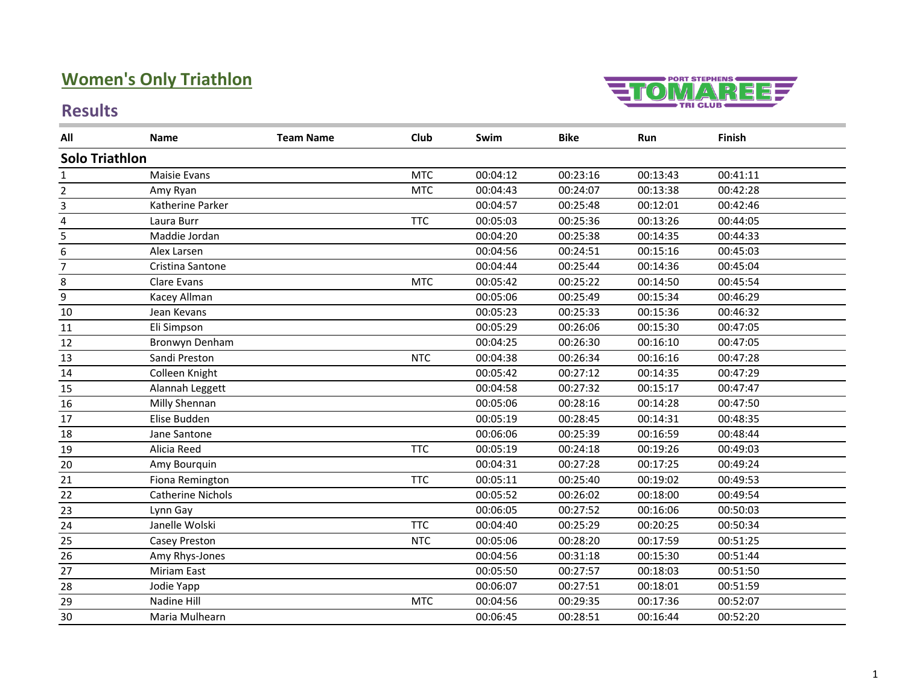## **Women's Only Triathlon**

# **TOMAREE**

#### **Results**

| All                     | Name                     | <b>Team Name</b> | Club       | Swim     | <b>Bike</b> | Run      | Finish   |  |
|-------------------------|--------------------------|------------------|------------|----------|-------------|----------|----------|--|
| <b>Solo Triathlon</b>   |                          |                  |            |          |             |          |          |  |
| 1                       | Maisie Evans             |                  | <b>MTC</b> | 00:04:12 | 00:23:16    | 00:13:43 | 00:41:11 |  |
| $\overline{2}$          | Amy Ryan                 |                  | <b>MTC</b> | 00:04:43 | 00:24:07    | 00:13:38 | 00:42:28 |  |
| $\overline{\mathbf{3}}$ | Katherine Parker         |                  |            | 00:04:57 | 00:25:48    | 00:12:01 | 00:42:46 |  |
| 4                       | Laura Burr               |                  | <b>TTC</b> | 00:05:03 | 00:25:36    | 00:13:26 | 00:44:05 |  |
| 5                       | Maddie Jordan            |                  |            | 00:04:20 | 00:25:38    | 00:14:35 | 00:44:33 |  |
| 6                       | Alex Larsen              |                  |            | 00:04:56 | 00:24:51    | 00:15:16 | 00:45:03 |  |
| $\overline{7}$          | Cristina Santone         |                  |            | 00:04:44 | 00:25:44    | 00:14:36 | 00:45:04 |  |
| 8                       | Clare Evans              |                  | <b>MTC</b> | 00:05:42 | 00:25:22    | 00:14:50 | 00:45:54 |  |
| 9                       | Kacey Allman             |                  |            | 00:05:06 | 00:25:49    | 00:15:34 | 00:46:29 |  |
| $10\,$                  | Jean Kevans              |                  |            | 00:05:23 | 00:25:33    | 00:15:36 | 00:46:32 |  |
| $11\,$                  | Eli Simpson              |                  |            | 00:05:29 | 00:26:06    | 00:15:30 | 00:47:05 |  |
| 12                      | Bronwyn Denham           |                  |            | 00:04:25 | 00:26:30    | 00:16:10 | 00:47:05 |  |
| 13                      | Sandi Preston            |                  | <b>NTC</b> | 00:04:38 | 00:26:34    | 00:16:16 | 00:47:28 |  |
| 14                      | Colleen Knight           |                  |            | 00:05:42 | 00:27:12    | 00:14:35 | 00:47:29 |  |
| 15                      | Alannah Leggett          |                  |            | 00:04:58 | 00:27:32    | 00:15:17 | 00:47:47 |  |
| 16                      | Milly Shennan            |                  |            | 00:05:06 | 00:28:16    | 00:14:28 | 00:47:50 |  |
| 17                      | Elise Budden             |                  |            | 00:05:19 | 00:28:45    | 00:14:31 | 00:48:35 |  |
| 18                      | Jane Santone             |                  |            | 00:06:06 | 00:25:39    | 00:16:59 | 00:48:44 |  |
| 19                      | Alicia Reed              |                  | <b>TTC</b> | 00:05:19 | 00:24:18    | 00:19:26 | 00:49:03 |  |
| 20                      | Amy Bourquin             |                  |            | 00:04:31 | 00:27:28    | 00:17:25 | 00:49:24 |  |
| 21                      | Fiona Remington          |                  | <b>TTC</b> | 00:05:11 | 00:25:40    | 00:19:02 | 00:49:53 |  |
| 22                      | <b>Catherine Nichols</b> |                  |            | 00:05:52 | 00:26:02    | 00:18:00 | 00:49:54 |  |
| 23                      | Lynn Gay                 |                  |            | 00:06:05 | 00:27:52    | 00:16:06 | 00:50:03 |  |
| 24                      | Janelle Wolski           |                  | <b>TTC</b> | 00:04:40 | 00:25:29    | 00:20:25 | 00:50:34 |  |
| 25                      | Casey Preston            |                  | <b>NTC</b> | 00:05:06 | 00:28:20    | 00:17:59 | 00:51:25 |  |
| 26                      | Amy Rhys-Jones           |                  |            | 00:04:56 | 00:31:18    | 00:15:30 | 00:51:44 |  |
| 27                      | Miriam East              |                  |            | 00:05:50 | 00:27:57    | 00:18:03 | 00:51:50 |  |
| 28                      | Jodie Yapp               |                  |            | 00:06:07 | 00:27:51    | 00:18:01 | 00:51:59 |  |
| 29                      | Nadine Hill              |                  | <b>MTC</b> | 00:04:56 | 00:29:35    | 00:17:36 | 00:52:07 |  |
| 30                      | Maria Mulhearn           |                  |            | 00:06:45 | 00:28:51    | 00:16:44 | 00:52:20 |  |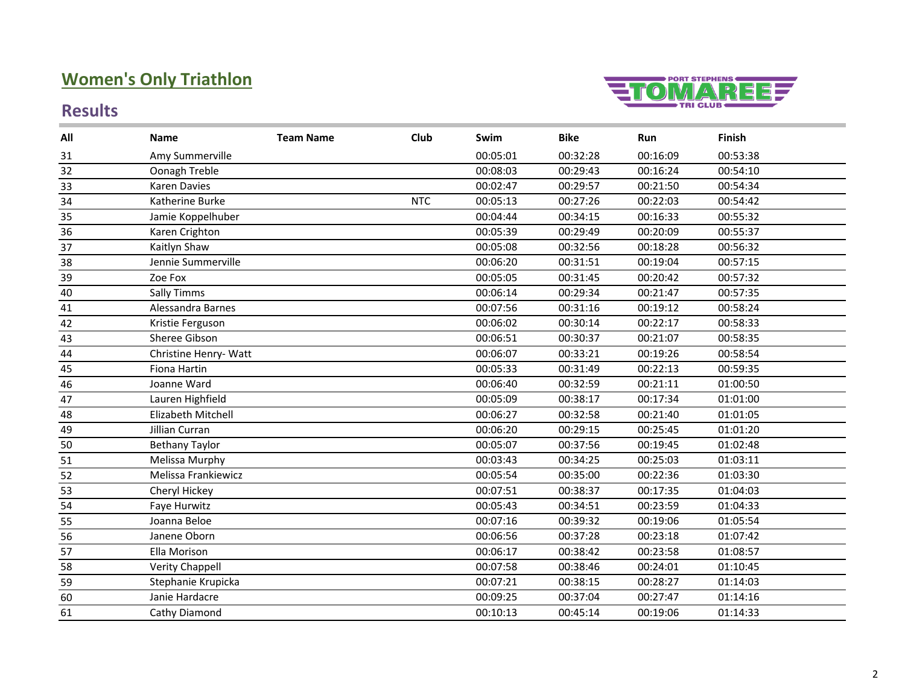## **Women's Only Triathlon**

#### **Results**



| All | <b>Name</b>            | <b>Team Name</b> | Club       | Swim     | <b>Bike</b> | Run      | Finish   |
|-----|------------------------|------------------|------------|----------|-------------|----------|----------|
| 31  | Amy Summerville        |                  |            | 00:05:01 | 00:32:28    | 00:16:09 | 00:53:38 |
| 32  | Oonagh Treble          |                  |            | 00:08:03 | 00:29:43    | 00:16:24 | 00:54:10 |
| 33  | Karen Davies           |                  |            | 00:02:47 | 00:29:57    | 00:21:50 | 00:54:34 |
| 34  | Katherine Burke        |                  | <b>NTC</b> | 00:05:13 | 00:27:26    | 00:22:03 | 00:54:42 |
| 35  | Jamie Koppelhuber      |                  |            | 00:04:44 | 00:34:15    | 00:16:33 | 00:55:32 |
| 36  | Karen Crighton         |                  |            | 00:05:39 | 00:29:49    | 00:20:09 | 00:55:37 |
| 37  | Kaitlyn Shaw           |                  |            | 00:05:08 | 00:32:56    | 00:18:28 | 00:56:32 |
| 38  | Jennie Summerville     |                  |            | 00:06:20 | 00:31:51    | 00:19:04 | 00:57:15 |
| 39  | Zoe Fox                |                  |            | 00:05:05 | 00:31:45    | 00:20:42 | 00:57:32 |
| 40  | Sally Timms            |                  |            | 00:06:14 | 00:29:34    | 00:21:47 | 00:57:35 |
| 41  | Alessandra Barnes      |                  |            | 00:07:56 | 00:31:16    | 00:19:12 | 00:58:24 |
| 42  | Kristie Ferguson       |                  |            | 00:06:02 | 00:30:14    | 00:22:17 | 00:58:33 |
| 43  | Sheree Gibson          |                  |            | 00:06:51 | 00:30:37    | 00:21:07 | 00:58:35 |
| 44  | Christine Henry- Watt  |                  |            | 00:06:07 | 00:33:21    | 00:19:26 | 00:58:54 |
| 45  | Fiona Hartin           |                  |            | 00:05:33 | 00:31:49    | 00:22:13 | 00:59:35 |
| 46  | Joanne Ward            |                  |            | 00:06:40 | 00:32:59    | 00:21:11 | 01:00:50 |
| 47  | Lauren Highfield       |                  |            | 00:05:09 | 00:38:17    | 00:17:34 | 01:01:00 |
| 48  | Elizabeth Mitchell     |                  |            | 00:06:27 | 00:32:58    | 00:21:40 | 01:01:05 |
| 49  | Jillian Curran         |                  |            | 00:06:20 | 00:29:15    | 00:25:45 | 01:01:20 |
| 50  | <b>Bethany Taylor</b>  |                  |            | 00:05:07 | 00:37:56    | 00:19:45 | 01:02:48 |
| 51  | Melissa Murphy         |                  |            | 00:03:43 | 00:34:25    | 00:25:03 | 01:03:11 |
| 52  | Melissa Frankiewicz    |                  |            | 00:05:54 | 00:35:00    | 00:22:36 | 01:03:30 |
| 53  | Cheryl Hickey          |                  |            | 00:07:51 | 00:38:37    | 00:17:35 | 01:04:03 |
| 54  | Faye Hurwitz           |                  |            | 00:05:43 | 00:34:51    | 00:23:59 | 01:04:33 |
| 55  | Joanna Beloe           |                  |            | 00:07:16 | 00:39:32    | 00:19:06 | 01:05:54 |
| 56  | Janene Oborn           |                  |            | 00:06:56 | 00:37:28    | 00:23:18 | 01:07:42 |
| 57  | Ella Morison           |                  |            | 00:06:17 | 00:38:42    | 00:23:58 | 01:08:57 |
| 58  | <b>Verity Chappell</b> |                  |            | 00:07:58 | 00:38:46    | 00:24:01 | 01:10:45 |
| 59  | Stephanie Krupicka     |                  |            | 00:07:21 | 00:38:15    | 00:28:27 | 01:14:03 |
| 60  | Janie Hardacre         |                  |            | 00:09:25 | 00:37:04    | 00:27:47 | 01:14:16 |
| 61  | Cathy Diamond          |                  |            | 00:10:13 | 00:45:14    | 00:19:06 | 01:14:33 |